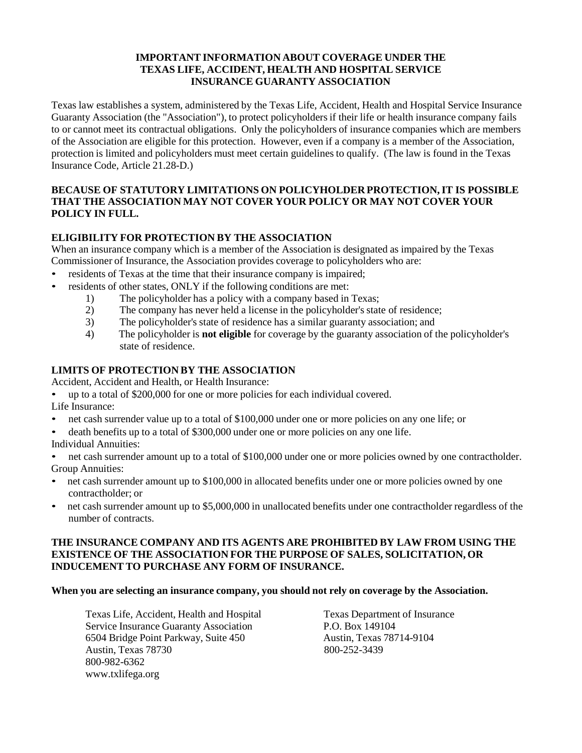### **IMPORTANT INFORMATION ABOUT COVERAGE UNDER THE TEXAS LIFE, ACCIDENT, HEALTH AND HOSPITAL SERVICE INSURANCE GUARANTY ASSOCIATION**

Texas law establishes a system, administered by the Texas Life, Accident, Health and Hospital Service Insurance Guaranty Association (the "Association"), to protect policyholdersif their life or health insurance company fails to or cannot meet its contractual obligations. Only the policyholders of insurance companies which are members of the Association are eligible for this protection. However, even if a company is a member of the Association, protection is limited and policyholders must meet certain guidelines to qualify. (The law is found in the Texas Insurance Code, Article 21.28-D.)

### **BECAUSE OF STATUTORY LIMITATIONS ON POLICYHOLDER PROTECTION,IT IS POSSIBLE THAT THE ASSOCIATION MAY NOT COVER YOUR POLICY OR MAY NOT COVER YOUR POLICY IN FULL.**

### **ELIGIBILITY FOR PROTECTION BY THE ASSOCIATION**

When an insurance company which is a member of the Association is designated as impaired by the Texas Commissioner of Insurance, the Association provides coverage to policyholders who are:

- residents of Texas at the time that their insurance company is impaired;
- residents of other states, ONLY if the following conditions are met:
	- 1) The policyholder has a policy with a company based in Texas;<br>2) The company has never held a license in the policyholder's stat
	- The company has never held a license in the policyholder's state of residence;
	- 3) The policyholder's state of residence has a similar guaranty association; and
	- 4) The policyholder is **not eligible** for coverage by the guaranty association of the policyholder's state of residence.

### **LIMITS OF PROTECTION BY THE ASSOCIATION**

Accident, Accident and Health, or Health Insurance:

- up to a total of \$200,000 for one or more policies for each individual covered.
- Life Insurance:
- net cash surrender value up to a total of \$100,000 under one or more policies on any one life; or
- death benefits up to a total of \$300,000 under one or more policies on any one life.
- Individual Annuities:
- net cash surrender amount up to a total of \$100,000 under one or more policies owned by one contractholder. Group Annuities:
- net cash surrender amount up to \$100,000 in allocated benefits under one or more policies owned by one contractholder; or
- net cash surrender amount up to \$5,000,000 in unallocated benefits under one contractholder regardless of the number of contracts.

#### **THE INSURANCE COMPANY AND ITS AGENTS ARE PROHIBITED BY LAW FROM USING THE EXISTENCE OF THE ASSOCIATION FOR THE PURPOSE OF SALES, SOLICITATION, OR INDUCEMENT TO PURCHASE ANY FORM OF INSURANCE.**

#### **When you are selecting an insurance company, you should not rely on coverage by the Association.**

Texas Life, Accident, Health and Hospital Texas Department of Insurance Service Insurance Guaranty Association P.O. Box 149104 6504 Bridge Point Parkway, Suite 450 Austin, Texas 78714-9104<br>Austin, Texas 78730 800-252-3439 Austin, Texas 78730 800-982-636[2](http://www.txlifega.org/) [www.txlifega.org](http://www.txlifega.org/)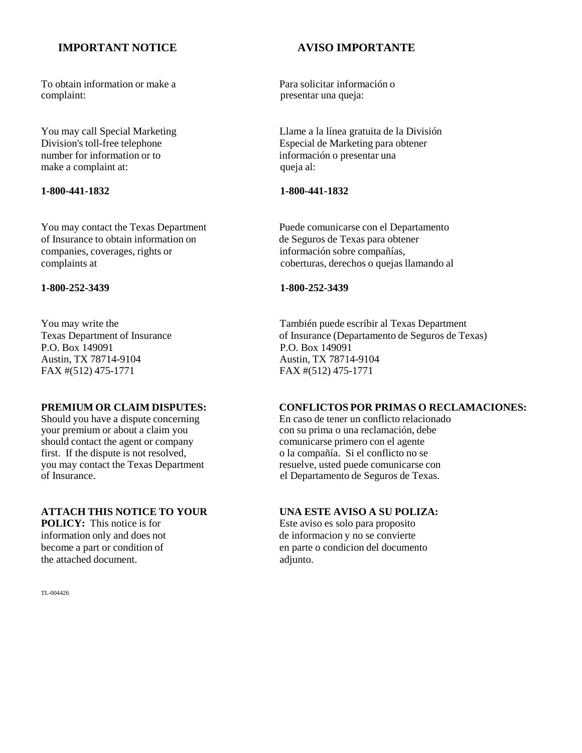### **IMPORTANT NOTICE AVISO IMPORTANTE**

To obtain information or make a Para solicitar información o complaint: presentar una queja:

make a complaint at:

of Insurance to obtain information on de Seguros de Texas para obtener companies, coverages, rights or información sobre compañías,

P.O. Box 149091 P.O. Box 149091 Austin, TX 78714-9104 Austin, TX 78714-9104 FAX #(512) 475-1771 FAX #(512) 475-1771

your premium or about a claim you<br>
should contact the agent or company<br>
con su prima o una reclamación, debe<br>
comunicarse primero con el agente first. If the dispute is not resolved, o la compañía. Si el conflicto no se vou may contact the Texas Department contract expression resultive, usted puede comunicarse con you may contact the Texas Department of Insurance.

# **ATTACH THIS NOTICE TO YOUR** UNA ESTE AVISO A SU POLIZA:<br>
POLICY: This notice is for Este aviso es solo para proposito

the attached document.  $\alpha$  adjunto.

TL-004426

You may call Special Marketing Llame a la línea gratuita de la División<br>Division's toll-free telephone Especial de Marketing para obtener Division's toll-free telephone<br>
number for information or to<br>
information of presentar una información o presentar una<br>queja al:

#### **1-800-441-1832 1-800-441-1832**

You may contact the Texas Department Puede comunicarse con el Departamento complaints at coberturas, derechos o quejas llamando al

#### **1-800-252-3439 1-800-252-3439**

You may write the También puede escribir al Texas Department<br>
Texas Department of Insurance (Department of Lessingers of Insurance (Department of Seguros de Te of Insurance (Departamento de Seguros de Texas)

# **PREMIUM OR CLAIM DISPUTES:** CONFLICTOS POR PRIMAS O RECLAMACIONES:<br>Should you have a dispute concerning En caso de tener un conflicto relacionado

Should you have a dispute concerning En caso de tener un conflicto relacionado<br>your premium or about a claim you con su prima o una reclamación, debe comunicarse primero con el agente<br>o la compañía. Si el conflicto no se el Departamento de Seguros de Texas.

Este aviso es solo para proposito information only and does not<br>become a part or condition of de informacion y no se convierte<br>en parte o condicion del documen en parte o condicion del documento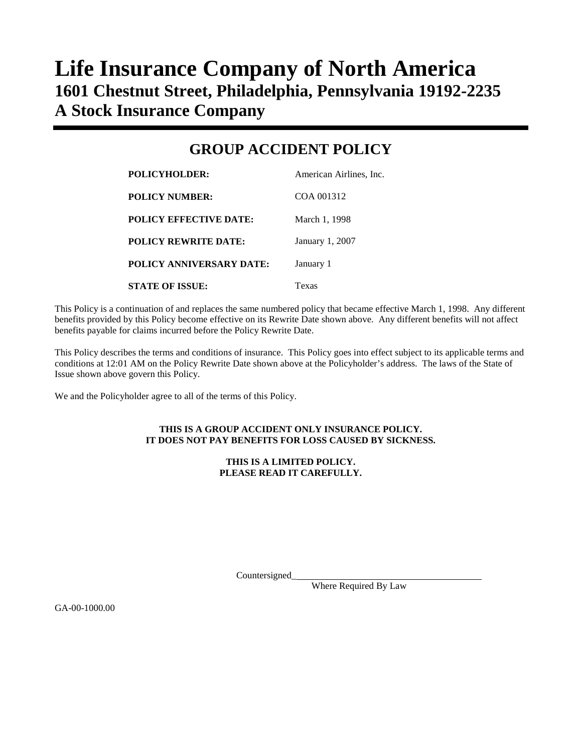# **Life Insurance Company of North America 1601 Chestnut Street, Philadelphia, Pennsylvania 19192-2235 A Stock Insurance Company**

## **GROUP ACCIDENT POLICY**

| <b>POLICYHOLDER:</b>            | American Airlines, Inc. |
|---------------------------------|-------------------------|
| <b>POLICY NUMBER:</b>           | COA 001312              |
| <b>POLICY EFFECTIVE DATE:</b>   | March 1, 1998           |
| <b>POLICY REWRITE DATE:</b>     | January 1, 2007         |
| <b>POLICY ANNIVERSARY DATE:</b> | January 1               |
| <b>STATE OF ISSUE:</b>          | Texas                   |

This Policy is a continuation of and replaces the same numbered policy that became effective March 1, 1998. Any different benefits provided by this Policy become effective on its Rewrite Date shown above. Any different benefits will not affect benefits payable for claims incurred before the Policy Rewrite Date.

This Policy describes the terms and conditions of insurance. This Policy goes into effect subject to its applicable terms and conditions at 12:01 AM on the Policy Rewrite Date shown above at the Policyholder's address. The laws of the State of Issue shown above govern this Policy.

We and the Policyholder agree to all of the terms of this Policy.

#### **THIS IS A GROUP ACCIDENT ONLY INSURANCE POLICY. IT DOES NOT PAY BENEFITS FOR LOSS CAUSED BY SICKNESS.**

#### **THIS IS A LIMITED POLICY. PLEASE READ IT CAREFULLY.**

Countersigned\_

Where Required By Law

GA-00-1000.00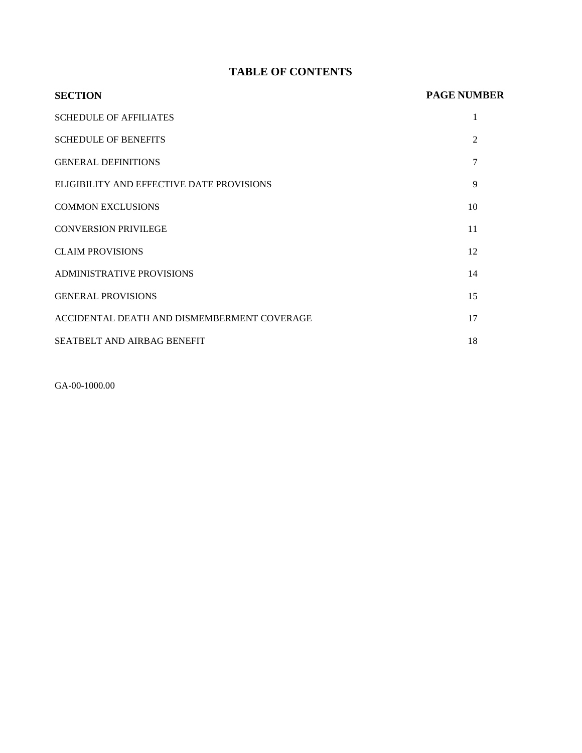## **TABLE OF CONTENTS**

| <b>SECTION</b>                              | <b>PAGE NUMBER</b> |
|---------------------------------------------|--------------------|
| <b>SCHEDULE OF AFFILIATES</b>               | 1                  |
| <b>SCHEDULE OF BENEFITS</b>                 | 2                  |
| <b>GENERAL DEFINITIONS</b>                  | 7                  |
| ELIGIBILITY AND EFFECTIVE DATE PROVISIONS   | 9                  |
| <b>COMMON EXCLUSIONS</b>                    | 10                 |
| <b>CONVERSION PRIVILEGE</b>                 | 11                 |
| <b>CLAIM PROVISIONS</b>                     | 12                 |
| <b>ADMINISTRATIVE PROVISIONS</b>            | 14                 |
| <b>GENERAL PROVISIONS</b>                   | 15                 |
| ACCIDENTAL DEATH AND DISMEMBERMENT COVERAGE | 17                 |
| SEATBELT AND AIRBAG BENEFIT                 | 18                 |

GA-00-1000.00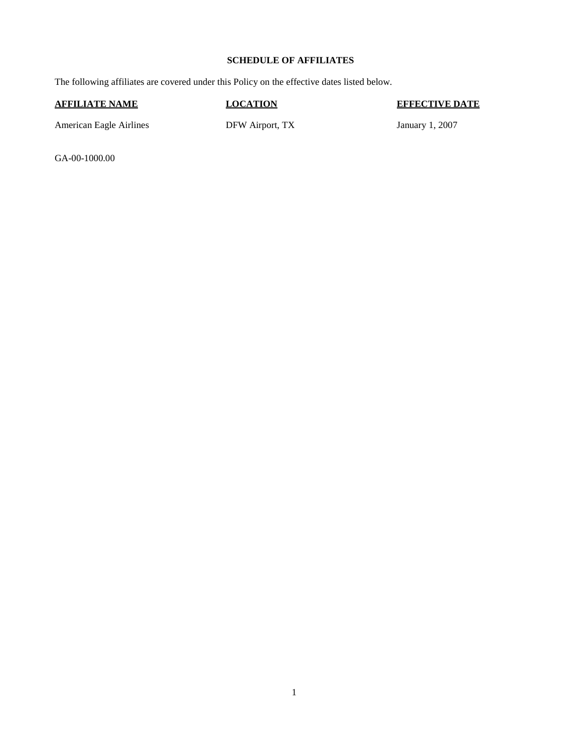#### **SCHEDULE OF AFFILIATES**

The following affiliates are covered under this Policy on the effective dates listed below.

#### **AFFILIATE NAME LOCATION EFFECTIVE DATE**

American Eagle Airlines

DFW Airport, TX January 1, 2007

GA-00-1000.00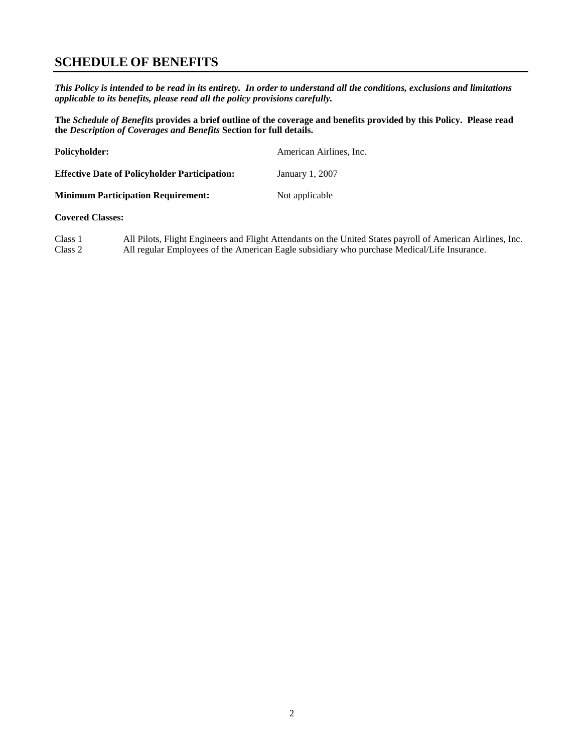## **SCHEDULE OF BENEFITS**

*This Policy is intended to be read in its entirety. In order to understand all the conditions, exclusions and limitations applicable to its benefits, please read all the policy provisions carefully.*

**The** *Schedule of Benefits* **provides a brief outline of the coverage and benefits provided by this Policy. Please read the** *Description of Coverages and Benefits* **Section for full details.**

| <b>Policyholder:</b>                                 | American Airlines, Inc. |
|------------------------------------------------------|-------------------------|
| <b>Effective Date of Policyholder Participation:</b> | January 1, 2007         |
| <b>Minimum Participation Requirement:</b>            | Not applicable          |

#### **Covered Classes:**

Class 1 All Pilots, Flight Engineers and Flight Attendants on the United States payroll of American Airlines, Inc. All regular Employees of the American Eagle subsidiary who purchase Medical/Life Insurance.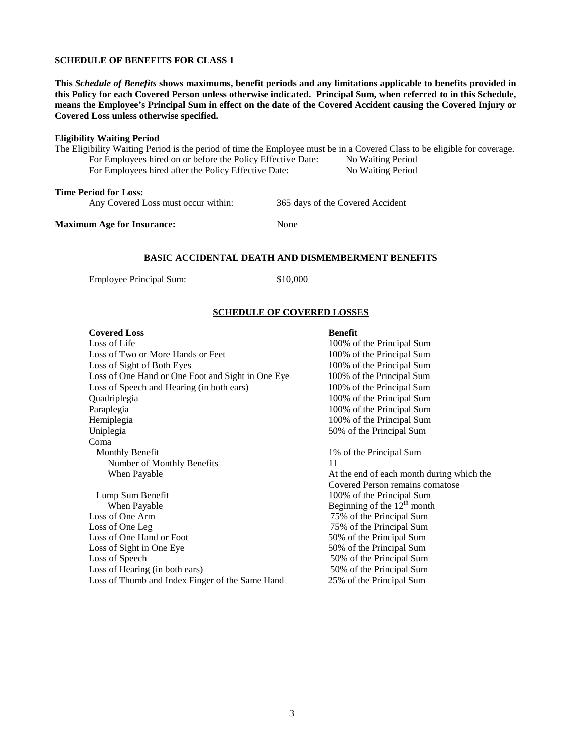#### **SCHEDULE OF BENEFITS FOR CLASS 1**

**This** *Schedule of Benefits* **shows maximums, benefit periods and any limitations applicable to benefits provided in this Policy for each Covered Person unless otherwise indicated. Principal Sum, when referred to in this Schedule, means the Employee's Principal Sum in effect on the date of the Covered Accident causing the Covered Injury or Covered Loss unless otherwise specified.**

#### **Eligibility Waiting Period**

The Eligibility Waiting Period is the period of time the Employee must be in a Covered Class to be eligible for coverage. For Employees hired on or before the Policy Effective Date: No Waiting Period

For Employees hired after the Policy Effective Date: No Waiting Period

#### **Time Period for Loss:**

Any Covered Loss must occur within: 365 days of the Covered Accident

**Maximum Age for Insurance:** None

#### **BASIC ACCIDENTAL DEATH AND DISMEMBERMENT BENEFITS**

Employee Principal Sum: \$10,000

#### **SCHEDULE OF COVERED LOSSES**

#### **Covered Loss** Benefit

Loss of Life 100% of the Principal Sum Loss of Two or More Hands or Feet 100% of the Principal Sum Loss of Sight of Both Eyes 100% of the Principal Sum Loss of One Hand or One Foot and Sight in One Eye 100% of the Principal Sum Loss of Speech and Hearing (in both ears) 100% of the Principal Sum Quadriplegia 100% of the Principal Sum Paraplegia 100% of the Principal Sum Hemiplegia 100% of the Principal Sum Hemiplegia Uniplegia 50% of the Principal Sum Coma Monthly Benefit 1% of the Principal Sum Number of Monthly Benefits 11 When Payable **At the end of each month during which the** 

When Payable Beginning of the  $12<sup>th</sup>$  month Loss of One Arm 75% of the Principal Sum Loss of One Leg 75% of the Principal Sum Loss of One Hand or Foot 50% of the Principal Sum Loss of Sight in One Eye 50% of the Principal Sum Loss of Speech 50% of the Principal Sum Loss of Hearing (in both ears) 50% of the Principal Sum Loss of Thumb and Index Finger of the Same Hand 25% of the Principal Sum

100% of the Principal Sum

Covered Person remains comatose Lump Sum Benefit 100% of the Principal Sum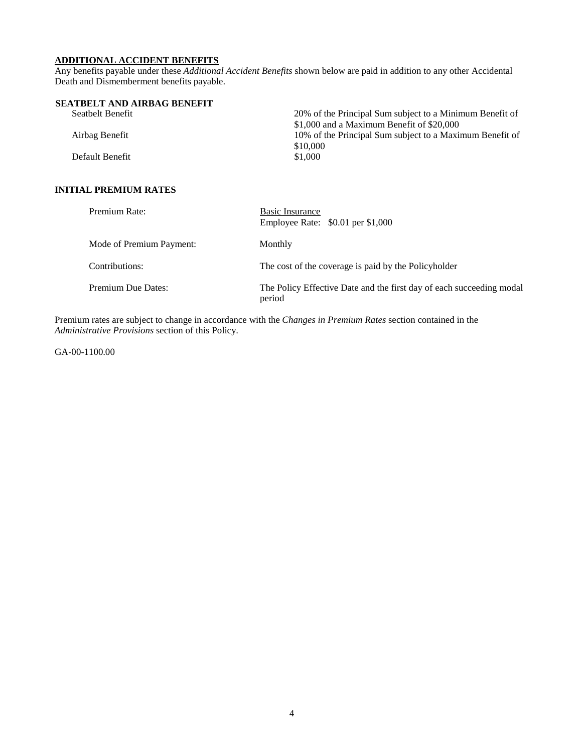## **ADDITIONAL ACCIDENT BENEFITS**

Any benefits payable under these *Additional Accident Benefits* shown below are paid in addition to any other Accidental Death and Dismemberment benefits payable.

| SEATBELT AND AIRBAG BENEFIT |                                                          |
|-----------------------------|----------------------------------------------------------|
| Seatbelt Benefit            | 20% of the Principal Sum subject to a Minimum Benefit of |
|                             | $$1,000$ and a Maximum Benefit of $$20,000$              |
| Airbag Benefit              | 10% of the Principal Sum subject to a Maximum Benefit of |
|                             | \$10,000                                                 |
| Default Benefit             | \$1,000                                                  |
|                             |                                                          |

### **INITIAL PREMIUM RATES**

| Premium Rate:            | Basic Insurance<br>Employee Rate: $$0.01$ per \$1,000                          |
|--------------------------|--------------------------------------------------------------------------------|
| Mode of Premium Payment: | Monthly                                                                        |
| Contributions:           | The cost of the coverage is paid by the Policyholder                           |
| Premium Due Dates:       | The Policy Effective Date and the first day of each succeeding modal<br>period |

Premium rates are subject to change in accordance with the *Changes in Premium Rates* section contained in the *Administrative Provisions* section of this Policy.

GA-00-1100.00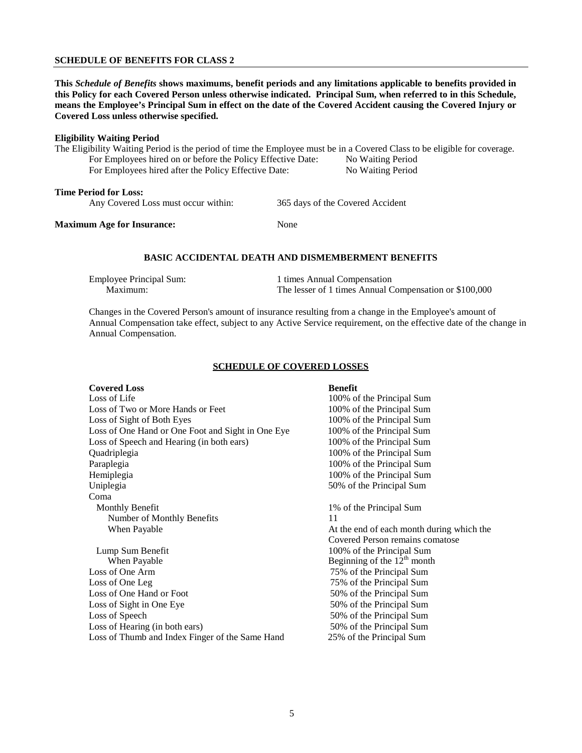#### **SCHEDULE OF BENEFITS FOR CLASS 2**

**This** *Schedule of Benefits* **shows maximums, benefit periods and any limitations applicable to benefits provided in this Policy for each Covered Person unless otherwise indicated. Principal Sum, when referred to in this Schedule, means the Employee's Principal Sum in effect on the date of the Covered Accident causing the Covered Injury or Covered Loss unless otherwise specified.**

#### **Eligibility Waiting Period**

The Eligibility Waiting Period is the period of time the Employee must be in a Covered Class to be eligible for coverage. For Employees hired on or before the Policy Effective Date: No Waiting Period For Employees hired after the Policy Effective Date: No Waiting Period

#### **Time Period for Loss:**

Any Covered Loss must occur within: 365 days of the Covered Accident

#### **Maximum Age for Insurance:** None

#### **BASIC ACCIDENTAL DEATH AND DISMEMBERMENT BENEFITS**

| <b>Employee Principal Sum:</b> | 1 times Annual Compensation                            |
|--------------------------------|--------------------------------------------------------|
| Maximum:                       | The lesser of 1 times Annual Compensation or \$100,000 |

Changes in the Covered Person's amount of insurance resulting from a change in the Employee's amount of Annual Compensation take effect, subject to any Active Service requirement, on the effective date of the change in Annual Compensation.

#### **SCHEDULE OF COVERED LOSSES**

#### **Covered Loss Benefit**<br>
Loss of Life 100% or 100% of the Principal Sum Loss of Two or More Hands or Feet 100% of the Principal Sum Loss of Sight of Both Eyes 100% of the Principal Sum Loss of One Hand or One Foot and Sight in One Eye 100% of the Principal Sum Loss of Speech and Hearing (in both ears) 100% of the Principal Sum Quadriplegia 100% of the Principal Sum Paraplegia 200% of the Principal Sum Hemiplegia 100% of the Principal Sum<br>
Uniplegia 50% of the Principal Sum<br>
50% of the Principal Sum 50% of the Principal Sum Coma Monthly Benefit 1% of the Principal Sum Number of Monthly Benefits 11<br>When Payable 4 At the end of each month during which the Covered Person remains comatose Lump Sum Benefit<br>When Payable 100% of the Principal Sum<br>Beginning of the 12<sup>th</sup> month Beginning of the  $12<sup>th</sup>$  month Loss of One Arm 75% of the Principal Sum Loss of One Leg 75% of the Principal Sum Loss of One Hand or Foot 50% of the Principal Sum Loss of Sight in One Eye 50% of the Principal Sum Loss of Speech 50% of the Principal Sum Loss of Hearing (in both ears) 50% of the Principal Sum Loss of Thumb and Index Finger of the Same Hand 25% of the Principal Sum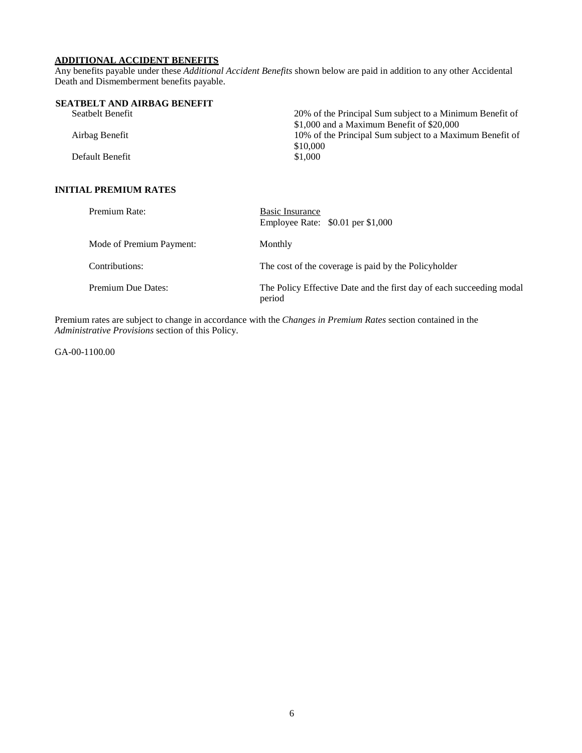## **ADDITIONAL ACCIDENT BENEFITS**

Any benefits payable under these *Additional Accident Benefits* shown below are paid in addition to any other Accidental Death and Dismemberment benefits payable.

| SEATBELT AND AIRBAG BENEFIT |                                                          |
|-----------------------------|----------------------------------------------------------|
| Seatbelt Benefit            | 20% of the Principal Sum subject to a Minimum Benefit of |
|                             | $$1,000$ and a Maximum Benefit of $$20,000$              |
| Airbag Benefit              | 10% of the Principal Sum subject to a Maximum Benefit of |
|                             | \$10,000                                                 |
| Default Benefit             | \$1,000                                                  |
|                             |                                                          |

### **INITIAL PREMIUM RATES**

| Premium Rate:             | Basic Insurance<br>Employee Rate: \$0.01 per \$1,000                           |
|---------------------------|--------------------------------------------------------------------------------|
| Mode of Premium Payment:  | Monthly                                                                        |
| Contributions:            | The cost of the coverage is paid by the Policyholder                           |
| <b>Premium Due Dates:</b> | The Policy Effective Date and the first day of each succeeding modal<br>period |

Premium rates are subject to change in accordance with the *Changes in Premium Rates* section contained in the *Administrative Provisions* section of this Policy.

GA-00-1100.00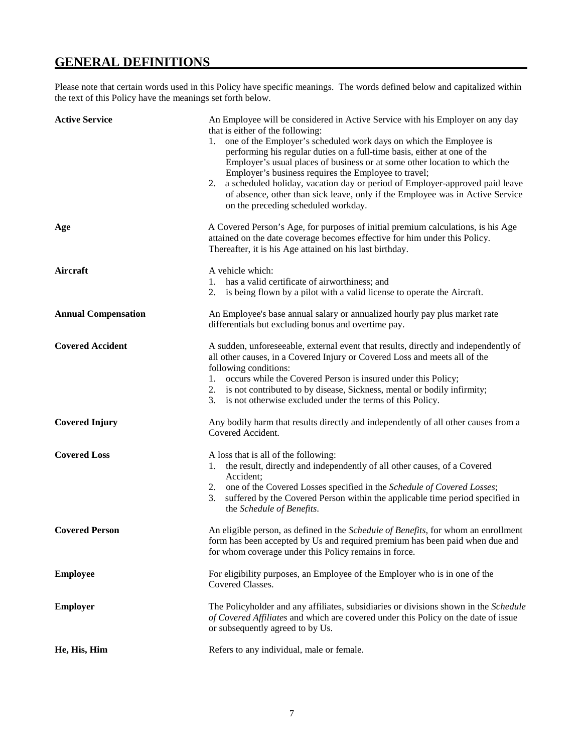## **GENERAL DEFINITIONS**

Please note that certain words used in this Policy have specific meanings. The words defined below and capitalized within the text of this Policy have the meanings set forth below.

| <b>Active Service</b>      | An Employee will be considered in Active Service with his Employer on any day<br>that is either of the following:<br>one of the Employer's scheduled work days on which the Employee is<br>1.<br>performing his regular duties on a full-time basis, either at one of the<br>Employer's usual places of business or at some other location to which the<br>Employer's business requires the Employee to travel;<br>2. a scheduled holiday, vacation day or period of Employer-approved paid leave<br>of absence, other than sick leave, only if the Employee was in Active Service<br>on the preceding scheduled workday. |
|----------------------------|---------------------------------------------------------------------------------------------------------------------------------------------------------------------------------------------------------------------------------------------------------------------------------------------------------------------------------------------------------------------------------------------------------------------------------------------------------------------------------------------------------------------------------------------------------------------------------------------------------------------------|
| Age                        | A Covered Person's Age, for purposes of initial premium calculations, is his Age<br>attained on the date coverage becomes effective for him under this Policy.<br>Thereafter, it is his Age attained on his last birthday.                                                                                                                                                                                                                                                                                                                                                                                                |
| Aircraft                   | A vehicle which:<br>has a valid certificate of airworthiness; and<br>1.<br>is being flown by a pilot with a valid license to operate the Aircraft.<br>2.                                                                                                                                                                                                                                                                                                                                                                                                                                                                  |
| <b>Annual Compensation</b> | An Employee's base annual salary or annualized hourly pay plus market rate<br>differentials but excluding bonus and overtime pay.                                                                                                                                                                                                                                                                                                                                                                                                                                                                                         |
| <b>Covered Accident</b>    | A sudden, unforeseeable, external event that results, directly and independently of<br>all other causes, in a Covered Injury or Covered Loss and meets all of the<br>following conditions:<br>1. occurs while the Covered Person is insured under this Policy;<br>2. is not contributed to by disease, Sickness, mental or bodily infirmity;<br>3. is not otherwise excluded under the terms of this Policy.                                                                                                                                                                                                              |
| <b>Covered Injury</b>      | Any bodily harm that results directly and independently of all other causes from a<br>Covered Accident.                                                                                                                                                                                                                                                                                                                                                                                                                                                                                                                   |
| <b>Covered Loss</b>        | A loss that is all of the following:<br>1. the result, directly and independently of all other causes, of a Covered<br>Accident;<br>2. one of the Covered Losses specified in the Schedule of Covered Losses;<br>suffered by the Covered Person within the applicable time period specified in<br>3.<br>the Schedule of Benefits.                                                                                                                                                                                                                                                                                         |
| <b>Covered Person</b>      | An eligible person, as defined in the Schedule of Benefits, for whom an enrollment<br>form has been accepted by Us and required premium has been paid when due and<br>for whom coverage under this Policy remains in force.                                                                                                                                                                                                                                                                                                                                                                                               |
| <b>Employee</b>            | For eligibility purposes, an Employee of the Employer who is in one of the<br>Covered Classes.                                                                                                                                                                                                                                                                                                                                                                                                                                                                                                                            |
| <b>Employer</b>            | The Policyholder and any affiliates, subsidiaries or divisions shown in the Schedule<br>of Covered Affiliates and which are covered under this Policy on the date of issue<br>or subsequently agreed to by Us.                                                                                                                                                                                                                                                                                                                                                                                                            |
| He, His, Him               | Refers to any individual, male or female.                                                                                                                                                                                                                                                                                                                                                                                                                                                                                                                                                                                 |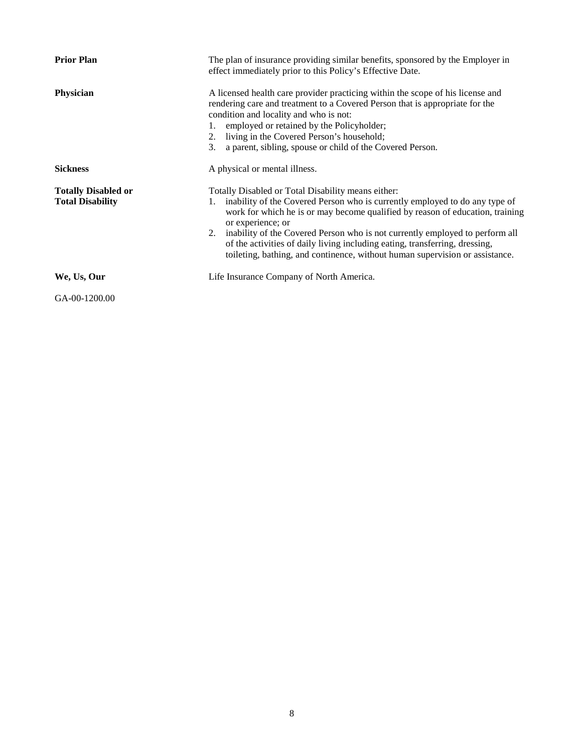| <b>Prior Plan</b>                                     | The plan of insurance providing similar benefits, sponsored by the Employer in<br>effect immediately prior to this Policy's Effective Date.                                                                                                                                                                                                                                                                                                                                               |
|-------------------------------------------------------|-------------------------------------------------------------------------------------------------------------------------------------------------------------------------------------------------------------------------------------------------------------------------------------------------------------------------------------------------------------------------------------------------------------------------------------------------------------------------------------------|
| Physician                                             | A licensed health care provider practicing within the scope of his license and<br>rendering care and treatment to a Covered Person that is appropriate for the<br>condition and locality and who is not:<br>employed or retained by the Policyholder;<br>2. living in the Covered Person's household;<br>a parent, sibling, spouse or child of the Covered Person.<br>3.                                                                                                                  |
| <b>Sickness</b>                                       | A physical or mental illness.                                                                                                                                                                                                                                                                                                                                                                                                                                                             |
| <b>Totally Disabled or</b><br><b>Total Disability</b> | Totally Disabled or Total Disability means either:<br>inability of the Covered Person who is currently employed to do any type of<br>work for which he is or may become qualified by reason of education, training<br>or experience; or<br>2. inability of the Covered Person who is not currently employed to perform all<br>of the activities of daily living including eating, transferring, dressing,<br>toileting, bathing, and continence, without human supervision or assistance. |
| We, Us, Our                                           | Life Insurance Company of North America.                                                                                                                                                                                                                                                                                                                                                                                                                                                  |
| GA-00-1200.00                                         |                                                                                                                                                                                                                                                                                                                                                                                                                                                                                           |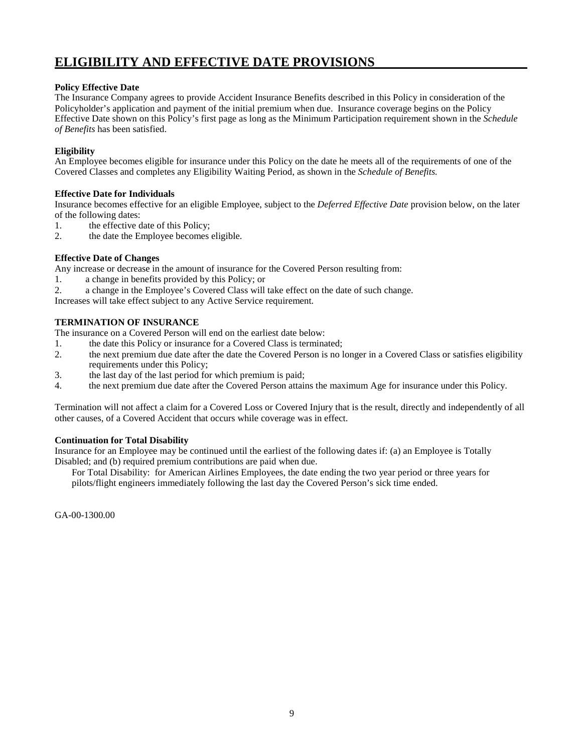## **ELIGIBILITY AND EFFECTIVE DATE PROVISIONS**

#### **Policy Effective Date**

The Insurance Company agrees to provide Accident Insurance Benefits described in this Policy in consideration of the Policyholder's application and payment of the initial premium when due. Insurance coverage begins on the Policy Effective Date shown on this Policy's first page as long as the Minimum Participation requirement shown in the *Schedule of Benefits* has been satisfied.

#### **Eligibility**

An Employee becomes eligible for insurance under this Policy on the date he meets all of the requirements of one of the Covered Classes and completes any Eligibility Waiting Period, as shown in the *Schedule of Benefits.*

#### **Effective Date for Individuals**

Insurance becomes effective for an eligible Employee, subject to the *Deferred Effective Date* provision below, on the later of the following dates:

- 1. the effective date of this Policy;<br>2. the date the Employee becomes
- the date the Employee becomes eligible.

#### **Effective Date of Changes**

Any increase or decrease in the amount of insurance for the Covered Person resulting from:

- 1. a change in benefits provided by this Policy; or
- 2. a change in the Employee's Covered Class will take effect on the date of such change.

Increases will take effect subject to any Active Service requirement.

#### **TERMINATION OF INSURANCE**

The insurance on a Covered Person will end on the earliest date below:

- 1. the date this Policy or insurance for a Covered Class is terminated;
- 2. the next premium due date after the date the Covered Person is no longer in a Covered Class or satisfies eligibility requirements under this Policy;
- 3. the last day of the last period for which premium is paid;
- 4. the next premium due date after the Covered Person attains the maximum Age for insurance under this Policy.

Termination will not affect a claim for a Covered Loss or Covered Injury that is the result, directly and independently of all other causes, of a Covered Accident that occurs while coverage was in effect.

#### **Continuation for Total Disability**

Insurance for an Employee may be continued until the earliest of the following dates if: (a) an Employee is Totally Disabled; and (b) required premium contributions are paid when due.

For Total Disability: for American Airlines Employees, the date ending the two year period or three years for pilots/flight engineers immediately following the last day the Covered Person's sick time ended.

GA-00-1300.00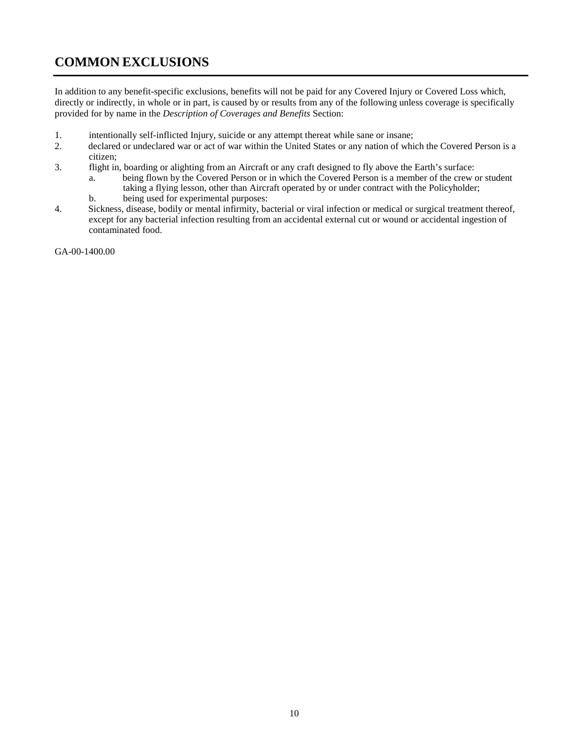## **COMMON EXCLUSIONS**

In addition to any benefit-specific exclusions, benefits will not be paid for any Covered Injury or Covered Loss which, directly or indirectly, in whole or in part, is caused by or results from any of the following unless coverage is specifically provided for by name in the *Description of Coverages and Benefits* Section:

- 1. intentionally self-inflicted Injury, suicide or any attempt thereat while sane or insane;<br>2. declared or undeclared war or act of war within the United States or any nation of whi
- 2. declared or undeclared war or act of war within the United States or any nation of which the Covered Person is a citizen;
- 3. flight in, boarding or alighting from an Aircraft or any craft designed to fly above the Earth's surface:
	- a. being flown by the Covered Person or in which the Covered Person is a member of the crew or student taking a flying lesson, other than Aircraft operated by or under contract with the Policyholder;
	- b. being used for experimental purposes:
- 4. Sickness, disease, bodily or mental infirmity, bacterial or viral infection or medical or surgical treatment thereof, except for any bacterial infection resulting from an accidental external cut or wound or accidental ingestion of contaminated food.

GA-00-1400.00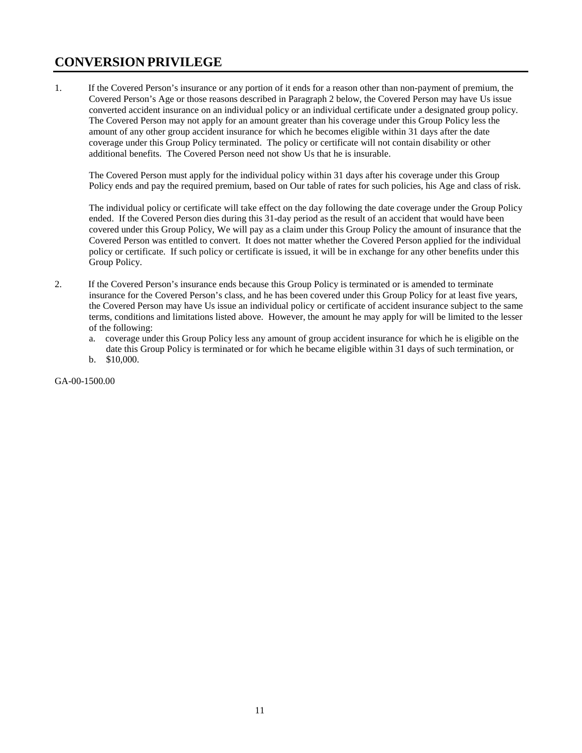## **CONVERSION PRIVILEGE**

1. If the Covered Person's insurance or any portion of it ends for a reason other than non-payment of premium, the Covered Person's Age or those reasons described in Paragraph 2 below, the Covered Person may have Us issue converted accident insurance on an individual policy or an individual certificate under a designated group policy. The Covered Person may not apply for an amount greater than his coverage under this Group Policy less the amount of any other group accident insurance for which he becomes eligible within 31 days after the date coverage under this Group Policy terminated. The policy or certificate will not contain disability or other additional benefits. The Covered Person need not show Us that he is insurable.

The Covered Person must apply for the individual policy within 31 days after his coverage under this Group Policy ends and pay the required premium, based on Our table of rates for such policies, his Age and class of risk.

The individual policy or certificate will take effect on the day following the date coverage under the Group Policy ended. If the Covered Person dies during this 31-day period as the result of an accident that would have been covered under this Group Policy, We will pay as a claim under this Group Policy the amount of insurance that the Covered Person was entitled to convert. It does not matter whether the Covered Person applied for the individual policy or certificate. If such policy or certificate is issued, it will be in exchange for any other benefits under this Group Policy.

- 2. If the Covered Person's insurance ends because this Group Policy is terminated or is amended to terminate insurance for the Covered Person's class, and he has been covered under this Group Policy for at least five years, the Covered Person may have Us issue an individual policy or certificate of accident insurance subject to the same terms, conditions and limitations listed above. However, the amount he may apply for will be limited to the lesser of the following:
	- a. coverage under this Group Policy less any amount of group accident insurance for which he is eligible on the date this Group Policy is terminated or for which he became eligible within 31 days of such termination, or
	- b. \$10,000.

GA-00-1500.00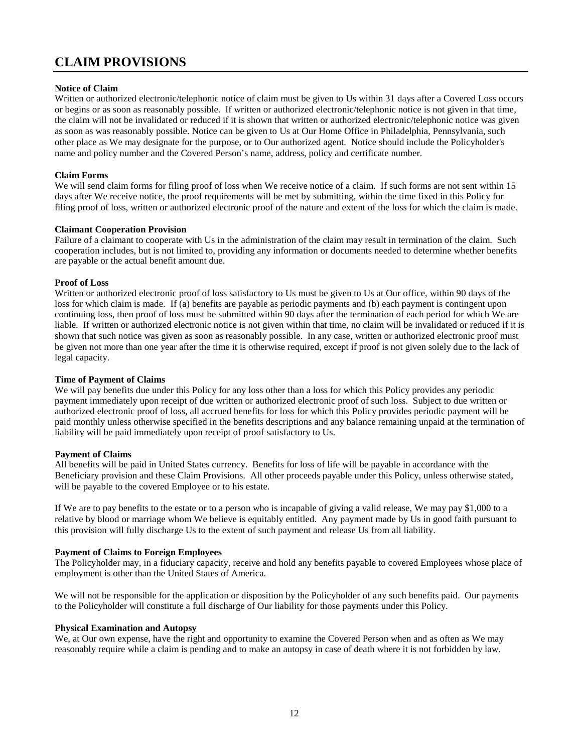## **CLAIM PROVISIONS**

#### **Notice of Claim**

Written or authorized electronic/telephonic notice of claim must be given to Us within 31 days after a Covered Loss occurs or begins or as soon as reasonably possible. If written or authorized electronic/telephonic notice is not given in that time, the claim will not be invalidated or reduced if it is shown that written or authorized electronic/telephonic notice was given as soon as was reasonably possible. Notice can be given to Us at Our Home Office in Philadelphia, Pennsylvania, such other place as We may designate for the purpose, or to Our authorized agent. Notice should include the Policyholder's name and policy number and the Covered Person's name, address, policy and certificate number.

#### **Claim Forms**

We will send claim forms for filing proof of loss when We receive notice of a claim. If such forms are not sent within 15 days after We receive notice, the proof requirements will be met by submitting, within the time fixed in this Policy for filing proof of loss, written or authorized electronic proof of the nature and extent of the loss for which the claim is made.

#### **Claimant Cooperation Provision**

Failure of a claimant to cooperate with Us in the administration of the claim may result in termination of the claim. Such cooperation includes, but is not limited to, providing any information or documents needed to determine whether benefits are payable or the actual benefit amount due.

#### **Proof of Loss**

Written or authorized electronic proof of loss satisfactory to Us must be given to Us at Our office, within 90 days of the loss for which claim is made. If (a) benefits are payable as periodic payments and (b) each payment is contingent upon continuing loss, then proof of loss must be submitted within 90 days after the termination of each period for which We are liable. If written or authorized electronic notice is not given within that time, no claim will be invalidated or reduced if it is shown that such notice was given as soon as reasonably possible. In any case, written or authorized electronic proof must be given not more than one year after the time it is otherwise required, except if proof is not given solely due to the lack of legal capacity.

#### **Time of Payment of Claims**

We will pay benefits due under this Policy for any loss other than a loss for which this Policy provides any periodic payment immediately upon receipt of due written or authorized electronic proof of such loss. Subject to due written or authorized electronic proof of loss, all accrued benefits for loss for which this Policy provides periodic payment will be paid monthly unless otherwise specified in the benefits descriptions and any balance remaining unpaid at the termination of liability will be paid immediately upon receipt of proof satisfactory to Us.

#### **Payment of Claims**

All benefits will be paid in United States currency. Benefits for loss of life will be payable in accordance with the Beneficiary provision and these Claim Provisions. All other proceeds payable under this Policy, unless otherwise stated, will be payable to the covered Employee or to his estate.

If We are to pay benefits to the estate or to a person who is incapable of giving a valid release, We may pay \$1,000 to a relative by blood or marriage whom We believe is equitably entitled. Any payment made by Us in good faith pursuant to this provision will fully discharge Us to the extent of such payment and release Us from all liability.

#### **Payment of Claims to Foreign Employees**

The Policyholder may, in a fiduciary capacity, receive and hold any benefits payable to covered Employees whose place of employment is other than the United States of America.

We will not be responsible for the application or disposition by the Policyholder of any such benefits paid. Our payments to the Policyholder will constitute a full discharge of Our liability for those payments under this Policy.

#### **Physical Examination and Autopsy**

We, at Our own expense, have the right and opportunity to examine the Covered Person when and as often as We may reasonably require while a claim is pending and to make an autopsy in case of death where it is not forbidden by law.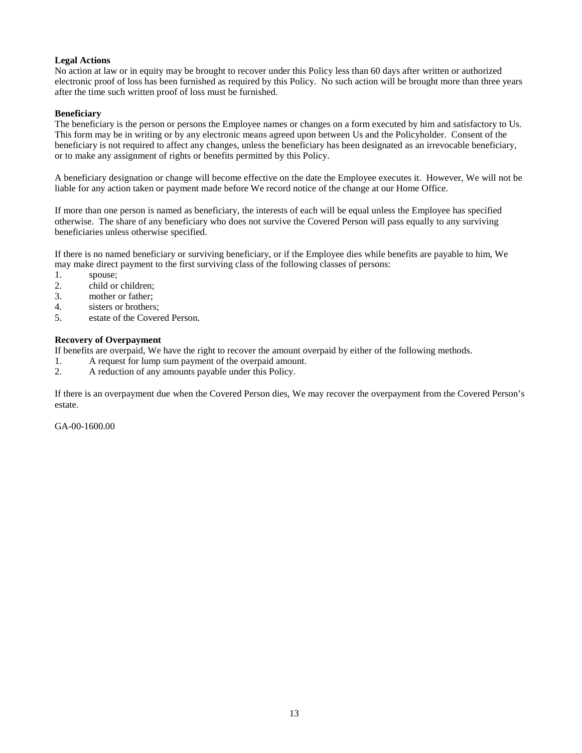#### **Legal Actions**

No action at law or in equity may be brought to recover under this Policy less than 60 days after written or authorized electronic proof of loss has been furnished as required by this Policy. No such action will be brought more than three years after the time such written proof of loss must be furnished.

#### **Beneficiary**

The beneficiary is the person or persons the Employee names or changes on a form executed by him and satisfactory to Us. This form may be in writing or by any electronic means agreed upon between Us and the Policyholder. Consent of the beneficiary is not required to affect any changes, unless the beneficiary has been designated as an irrevocable beneficiary, or to make any assignment of rights or benefits permitted by this Policy.

A beneficiary designation or change will become effective on the date the Employee executes it. However, We will not be liable for any action taken or payment made before We record notice of the change at our Home Office.

If more than one person is named as beneficiary, the interests of each will be equal unless the Employee has specified otherwise. The share of any beneficiary who does not survive the Covered Person will pass equally to any surviving beneficiaries unless otherwise specified.

If there is no named beneficiary or surviving beneficiary, or if the Employee dies while benefits are payable to him, We may make direct payment to the first surviving class of the following classes of persons:

- 1. spouse;
- 2. child or children;
- 3. mother or father;
- 4. sisters or brothers;
- 5. estate of the Covered Person.

#### **Recovery of Overpayment**

If benefits are overpaid, We have the right to recover the amount overpaid by either of the following methods.

- 1. A request for lump sum payment of the overpaid amount.
- 2. A reduction of any amounts payable under this Policy.

If there is an overpayment due when the Covered Person dies, We may recover the overpayment from the Covered Person's estate.

GA-00-1600.00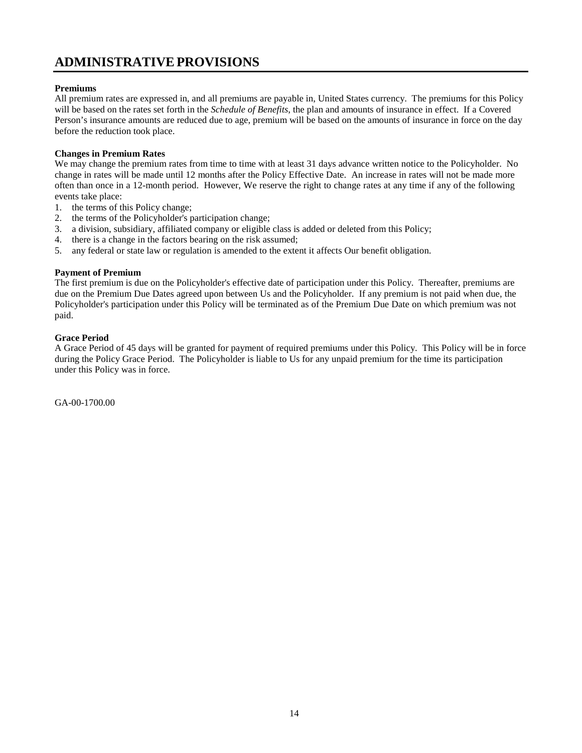## **ADMINISTRATIVEPROVISIONS**

#### **Premiums**

All premium rates are expressed in, and all premiums are payable in, United States currency. The premiums for this Policy will be based on the rates set forth in the *Schedule of Benefits*, the plan and amounts of insurance in effect. If a Covered Person's insurance amounts are reduced due to age, premium will be based on the amounts of insurance in force on the day before the reduction took place.

#### **Changes in Premium Rates**

We may change the premium rates from time to time with at least 31 days advance written notice to the Policyholder. No change in rates will be made until 12 months after the Policy Effective Date. An increase in rates will not be made more often than once in a 12-month period. However, We reserve the right to change rates at any time if any of the following events take place:

- 1. the terms of this Policy change;
- 2. the terms of the Policyholder's participation change;
- 3. a division, subsidiary, affiliated company or eligible class is added or deleted from this Policy;
- 4. there is a change in the factors bearing on the risk assumed;
- 5. any federal or state law or regulation is amended to the extent it affects Our benefit obligation.

#### **Payment of Premium**

The first premium is due on the Policyholder's effective date of participation under this Policy. Thereafter, premiums are due on the Premium Due Dates agreed upon between Us and the Policyholder. If any premium is not paid when due, the Policyholder's participation under this Policy will be terminated as of the Premium Due Date on which premium was not paid.

#### **Grace Period**

A Grace Period of 45 days will be granted for payment of required premiums under this Policy. This Policy will be in force during the Policy Grace Period. The Policyholder is liable to Us for any unpaid premium for the time its participation under this Policy was in force.

GA-00-1700.00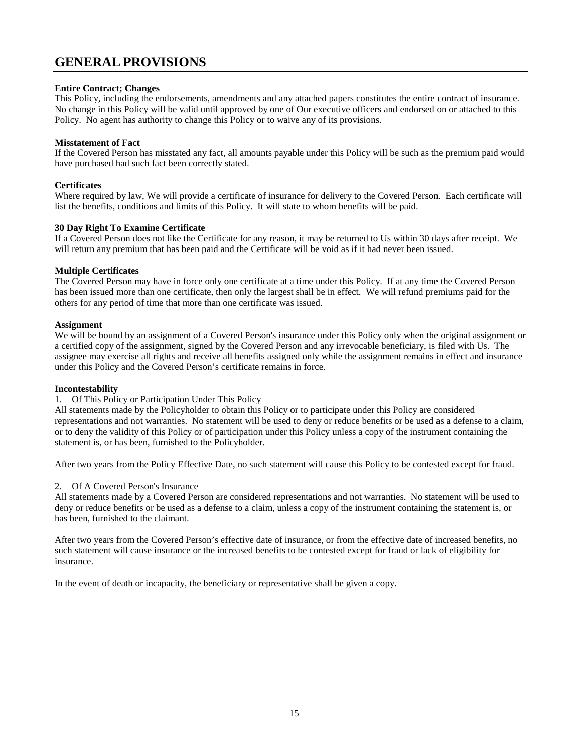## **GENERAL PROVISIONS**

#### **Entire Contract; Changes**

This Policy, including the endorsements, amendments and any attached papers constitutes the entire contract of insurance. No change in this Policy will be valid until approved by one of Our executive officers and endorsed on or attached to this Policy. No agent has authority to change this Policy or to waive any of its provisions.

#### **Misstatement of Fact**

If the Covered Person has misstated any fact, all amounts payable under this Policy will be such as the premium paid would have purchased had such fact been correctly stated.

#### **Certificates**

Where required by law, We will provide a certificate of insurance for delivery to the Covered Person. Each certificate will list the benefits, conditions and limits of this Policy. It will state to whom benefits will be paid.

#### **30 Day Right To Examine Certificate**

If a Covered Person does not like the Certificate for any reason, it may be returned to Us within 30 days after receipt. We will return any premium that has been paid and the Certificate will be void as if it had never been issued.

#### **Multiple Certificates**

The Covered Person may have in force only one certificate at a time under this Policy. If at any time the Covered Person has been issued more than one certificate, then only the largest shall be in effect. We will refund premiums paid for the others for any period of time that more than one certificate was issued.

#### **Assignment**

We will be bound by an assignment of a Covered Person's insurance under this Policy only when the original assignment or a certified copy of the assignment, signed by the Covered Person and any irrevocable beneficiary, is filed with Us. The assignee may exercise all rights and receive all benefits assigned only while the assignment remains in effect and insurance under this Policy and the Covered Person's certificate remains in force.

#### **Incontestability**

#### 1. Of This Policy or Participation Under This Policy

All statements made by the Policyholder to obtain this Policy or to participate under this Policy are considered representations and not warranties. No statement will be used to deny or reduce benefits or be used as a defense to a claim, or to deny the validity of this Policy or of participation under this Policy unless a copy of the instrument containing the statement is, or has been, furnished to the Policyholder.

After two years from the Policy Effective Date, no such statement will cause this Policy to be contested except for fraud.

#### 2. Of A Covered Person's Insurance

All statements made by a Covered Person are considered representations and not warranties. No statement will be used to deny or reduce benefits or be used as a defense to a claim, unless a copy of the instrument containing the statement is, or has been, furnished to the claimant.

After two years from the Covered Person's effective date of insurance, or from the effective date of increased benefits, no such statement will cause insurance or the increased benefits to be contested except for fraud or lack of eligibility for insurance.

In the event of death or incapacity, the beneficiary or representative shall be given a copy.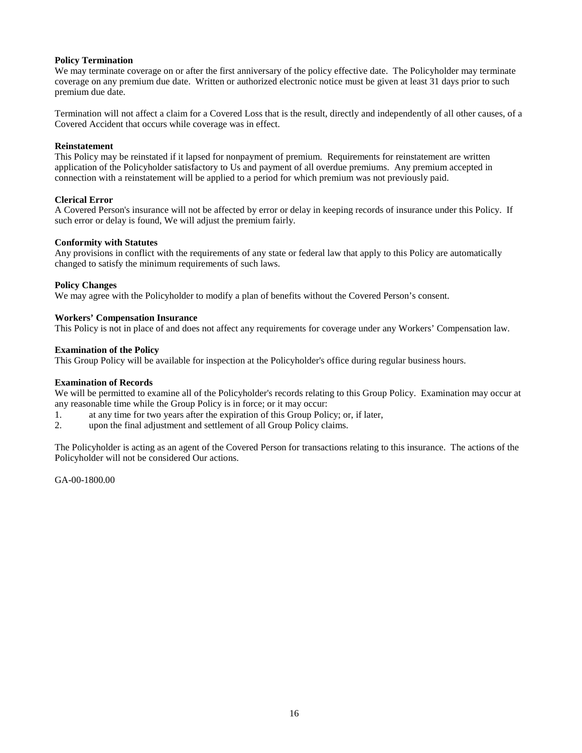#### **Policy Termination**

We may terminate coverage on or after the first anniversary of the policy effective date. The Policyholder may terminate coverage on any premium due date. Written or authorized electronic notice must be given at least 31 days prior to such premium due date.

Termination will not affect a claim for a Covered Loss that is the result, directly and independently of all other causes, of a Covered Accident that occurs while coverage was in effect.

#### **Reinstatement**

This Policy may be reinstated if it lapsed for nonpayment of premium. Requirements for reinstatement are written application of the Policyholder satisfactory to Us and payment of all overdue premiums. Any premium accepted in connection with a reinstatement will be applied to a period for which premium was not previously paid.

#### **Clerical Error**

A Covered Person's insurance will not be affected by error or delay in keeping records of insurance under this Policy. If such error or delay is found, We will adjust the premium fairly.

#### **Conformity with Statutes**

Any provisions in conflict with the requirements of any state or federal law that apply to this Policy are automatically changed to satisfy the minimum requirements of such laws.

#### **Policy Changes**

We may agree with the Policyholder to modify a plan of benefits without the Covered Person's consent.

#### **Workers' Compensation Insurance**

This Policy is not in place of and does not affect any requirements for coverage under any Workers' Compensation law.

#### **Examination of the Policy**

This Group Policy will be available for inspection at the Policyholder's office during regular business hours.

#### **Examination of Records**

We will be permitted to examine all of the Policyholder's records relating to this Group Policy. Examination may occur at any reasonable time while the Group Policy is in force; or it may occur:

- 1. at any time for two years after the expiration of this Group Policy; or, if later,
- 2. upon the final adjustment and settlement of all Group Policy claims.

The Policyholder is acting as an agent of the Covered Person for transactions relating to this insurance. The actions of the Policyholder will not be considered Our actions.

GA-00-1800.00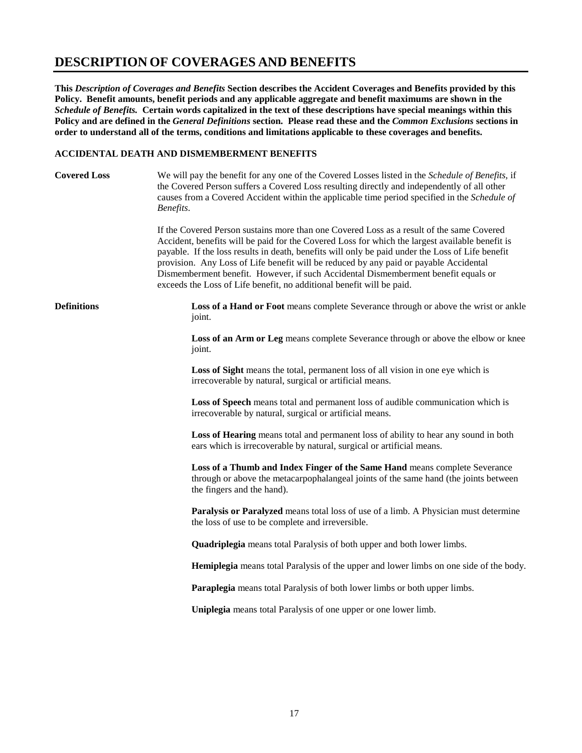## **DESCRIPTION OF COVERAGES AND BENEFITS**

**This** *Description of Coverages and Benefits* **Section describes the Accident Coverages and Benefits provided by this Policy. Benefit amounts, benefit periods and any applicable aggregate and benefit maximums are shown in the**  *Schedule of Benefits.* **Certain words capitalized in the text of these descriptions have special meanings within this Policy and are defined in the** *General Definitions* **section. Please read these and the** *Common Exclusions* **sections in order to understand all of the terms, conditions and limitations applicable to these coverages and benefits.**

#### **ACCIDENTAL DEATH AND DISMEMBERMENT BENEFITS**

| <b>Covered Loss</b> | We will pay the benefit for any one of the Covered Losses listed in the <i>Schedule of Benefits</i> , if<br>the Covered Person suffers a Covered Loss resulting directly and independently of all other<br>causes from a Covered Accident within the applicable time period specified in the Schedule of<br>Benefits.                                                                                                                                                                                                                                    |  |
|---------------------|----------------------------------------------------------------------------------------------------------------------------------------------------------------------------------------------------------------------------------------------------------------------------------------------------------------------------------------------------------------------------------------------------------------------------------------------------------------------------------------------------------------------------------------------------------|--|
|                     | If the Covered Person sustains more than one Covered Loss as a result of the same Covered<br>Accident, benefits will be paid for the Covered Loss for which the largest available benefit is<br>payable. If the loss results in death, benefits will only be paid under the Loss of Life benefit<br>provision. Any Loss of Life benefit will be reduced by any paid or payable Accidental<br>Dismemberment benefit. However, if such Accidental Dismemberment benefit equals or<br>exceeds the Loss of Life benefit, no additional benefit will be paid. |  |
| <b>Definitions</b>  | Loss of a Hand or Foot means complete Severance through or above the wrist or ankle<br>joint.                                                                                                                                                                                                                                                                                                                                                                                                                                                            |  |
|                     | Loss of an Arm or Leg means complete Severance through or above the elbow or knee<br>joint.                                                                                                                                                                                                                                                                                                                                                                                                                                                              |  |
|                     | Loss of Sight means the total, permanent loss of all vision in one eye which is<br>irrecoverable by natural, surgical or artificial means.                                                                                                                                                                                                                                                                                                                                                                                                               |  |
|                     | Loss of Speech means total and permanent loss of audible communication which is<br>irrecoverable by natural, surgical or artificial means.                                                                                                                                                                                                                                                                                                                                                                                                               |  |
|                     | Loss of Hearing means total and permanent loss of ability to hear any sound in both<br>ears which is irrecoverable by natural, surgical or artificial means.                                                                                                                                                                                                                                                                                                                                                                                             |  |
|                     | Loss of a Thumb and Index Finger of the Same Hand means complete Severance<br>through or above the metacarpophalangeal joints of the same hand (the joints between<br>the fingers and the hand).                                                                                                                                                                                                                                                                                                                                                         |  |
|                     | Paralysis or Paralyzed means total loss of use of a limb. A Physician must determine<br>the loss of use to be complete and irreversible.                                                                                                                                                                                                                                                                                                                                                                                                                 |  |
|                     | <b>Quadriplegia</b> means total Paralysis of both upper and both lower limbs.                                                                                                                                                                                                                                                                                                                                                                                                                                                                            |  |
|                     | <b>Hemiplegia</b> means total Paralysis of the upper and lower limbs on one side of the body.                                                                                                                                                                                                                                                                                                                                                                                                                                                            |  |
|                     | Paraplegia means total Paralysis of both lower limbs or both upper limbs.                                                                                                                                                                                                                                                                                                                                                                                                                                                                                |  |
|                     | Uniplegia means total Paralysis of one upper or one lower limb.                                                                                                                                                                                                                                                                                                                                                                                                                                                                                          |  |
|                     |                                                                                                                                                                                                                                                                                                                                                                                                                                                                                                                                                          |  |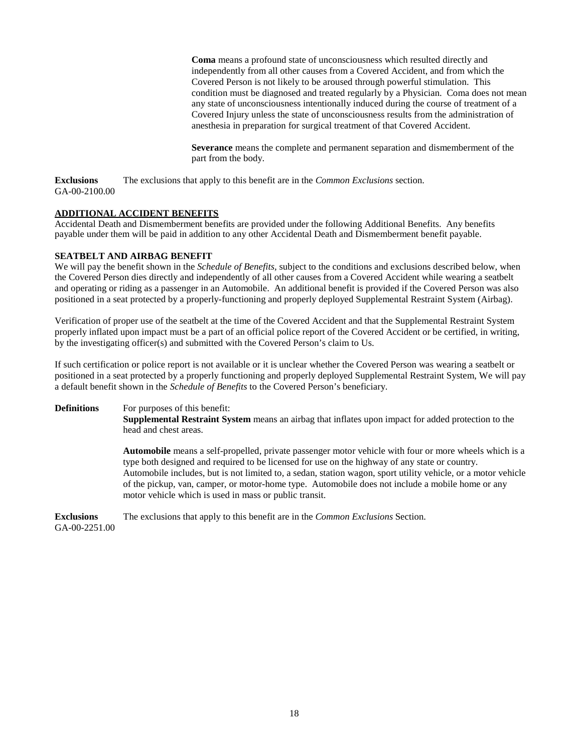**Coma** means a profound state of unconsciousness which resulted directly and independently from all other causes from a Covered Accident, and from which the Covered Person is not likely to be aroused through powerful stimulation. This condition must be diagnosed and treated regularly by a Physician. Coma does not mean any state of unconsciousness intentionally induced during the course of treatment of a Covered Injury unless the state of unconsciousness results from the administration of anesthesia in preparation for surgical treatment of that Covered Accident.

**Severance** means the complete and permanent separation and dismemberment of the part from the body.

**Exclusions** The exclusions that apply to this benefit are in the *Common Exclusions* section. GA-00-2100.00

#### **ADDITIONAL ACCIDENT BENEFITS**

Accidental Death and Dismemberment benefits are provided under the following Additional Benefits. Any benefits payable under them will be paid in addition to any other Accidental Death and Dismemberment benefit payable.

#### **SEATBELT AND AIRBAG BENEFIT**

We will pay the benefit shown in the *Schedule of Benefits,* subject to the conditions and exclusions described below, when the Covered Person dies directly and independently of all other causes from a Covered Accident while wearing a seatbelt and operating or riding as a passenger in an Automobile. An additional benefit is provided if the Covered Person was also positioned in a seat protected by a properly-functioning and properly deployed Supplemental Restraint System (Airbag).

Verification of proper use of the seatbelt at the time of the Covered Accident and that the Supplemental Restraint System properly inflated upon impact must be a part of an official police report of the Covered Accident or be certified, in writing, by the investigating officer(s) and submitted with the Covered Person's claim to Us.

If such certification or police report is not available or it is unclear whether the Covered Person was wearing a seatbelt or positioned in a seat protected by a properly functioning and properly deployed Supplemental Restraint System, We will pay a default benefit shown in the *Schedule of Benefits* to the Covered Person's beneficiary.

#### **Definitions** For purposes of this benefit:

**Supplemental Restraint System** means an airbag that inflates upon impact for added protection to the head and chest areas.

**Automobile** means a self-propelled, private passenger motor vehicle with four or more wheels which is a type both designed and required to be licensed for use on the highway of any state or country. Automobile includes, but is not limited to, a sedan, station wagon, sport utility vehicle, or a motor vehicle of the pickup, van, camper, or motor-home type. Automobile does not include a mobile home or any motor vehicle which is used in mass or public transit.

**Exclusions** The exclusions that apply to this benefit are in the *Common Exclusions* Section. GA-00-2251.00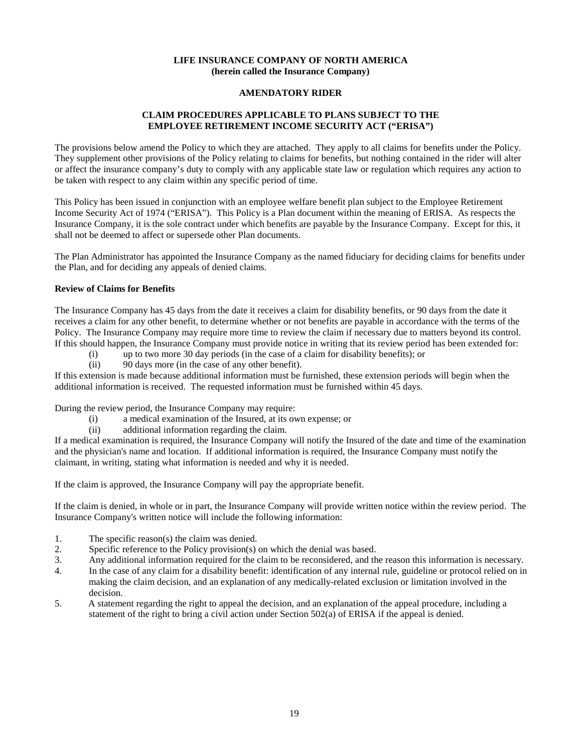#### **LIFE INSURANCE COMPANY OF NORTH AMERICA (herein called the Insurance Company)**

#### **AMENDATORY RIDER**

#### **CLAIM PROCEDURES APPLICABLE TO PLANS SUBJECT TO THE EMPLOYEE RETIREMENT INCOME SECURITY ACT ("ERISA")**

The provisions below amend the Policy to which they are attached. They apply to all claims for benefits under the Policy. They supplement other provisions of the Policy relating to claims for benefits, but nothing contained in the rider will alter or affect the insurance company's duty to comply with any applicable state law or regulation which requires any action to be taken with respect to any claim within any specific period of time.

This Policy has been issued in conjunction with an employee welfare benefit plan subject to the Employee Retirement Income Security Act of 1974 ("ERISA"). This Policy is a Plan document within the meaning of ERISA. As respects the Insurance Company, it is the sole contract under which benefits are payable by the Insurance Company. Except for this, it shall not be deemed to affect or supersede other Plan documents.

The Plan Administrator has appointed the Insurance Company as the named fiduciary for deciding claims for benefits under the Plan, and for deciding any appeals of denied claims.

#### **Review of Claims for Benefits**

The Insurance Company has 45 days from the date it receives a claim for disability benefits, or 90 days from the date it receives a claim for any other benefit, to determine whether or not benefits are payable in accordance with the terms of the Policy. The Insurance Company may require more time to review the claim if necessary due to matters beyond its control. If this should happen, the Insurance Company must provide notice in writing that its review period has been extended for:

- (i) up to two more 30 day periods (in the case of a claim for disability benefits); or
- (ii) 90 days more (in the case of any other benefit).

If this extension is made because additional information must be furnished, these extension periods will begin when the additional information is received. The requested information must be furnished within 45 days.

During the review period, the Insurance Company may require:

- (i) a medical examination of the Insured, at its own expense; or
- (ii) additional information regarding the claim.

If a medical examination is required, the Insurance Company will notify the Insured of the date and time of the examination and the physician's name and location. If additional information is required, the Insurance Company must notify the claimant, in writing, stating what information is needed and why it is needed.

If the claim is approved, the Insurance Company will pay the appropriate benefit.

If the claim is denied, in whole or in part, the Insurance Company will provide written notice within the review period. The Insurance Company's written notice will include the following information:

- 1. The specific reason(s) the claim was denied.
- 2. Specific reference to the Policy provision(s) on which the denial was based.
- 3. Any additional information required for the claim to be reconsidered, and the reason this information is necessary.
- 4. In the case of any claim for a disability benefit: identification of any internal rule, guideline or protocol relied on in making the claim decision, and an explanation of any medically-related exclusion or limitation involved in the decision.
- 5. A statement regarding the right to appeal the decision, and an explanation of the appeal procedure, including a statement of the right to bring a civil action under Section 502(a) of ERISA if the appeal is denied.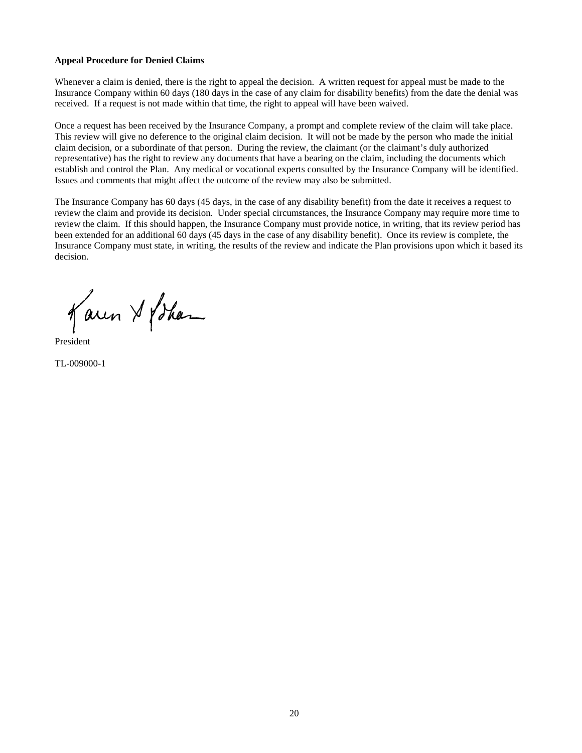#### **Appeal Procedure for Denied Claims**

Whenever a claim is denied, there is the right to appeal the decision. A written request for appeal must be made to the Insurance Company within 60 days (180 days in the case of any claim for disability benefits) from the date the denial was received. If a request is not made within that time, the right to appeal will have been waived.

Once a request has been received by the Insurance Company, a prompt and complete review of the claim will take place. This review will give no deference to the original claim decision. It will not be made by the person who made the initial claim decision, or a subordinate of that person. During the review, the claimant (or the claimant's duly authorized representative) has the right to review any documents that have a bearing on the claim, including the documents which establish and control the Plan. Any medical or vocational experts consulted by the Insurance Company will be identified. Issues and comments that might affect the outcome of the review may also be submitted.

The Insurance Company has 60 days (45 days, in the case of any disability benefit) from the date it receives a request to review the claim and provide its decision. Under special circumstances, the Insurance Company may require more time to review the claim. If this should happen, the Insurance Company must provide notice, in writing, that its review period has been extended for an additional 60 days (45 days in the case of any disability benefit). Once its review is complete, the Insurance Company must state, in writing, the results of the review and indicate the Plan provisions upon which it based its decision.

Karen & Lohan

President

TL-009000-1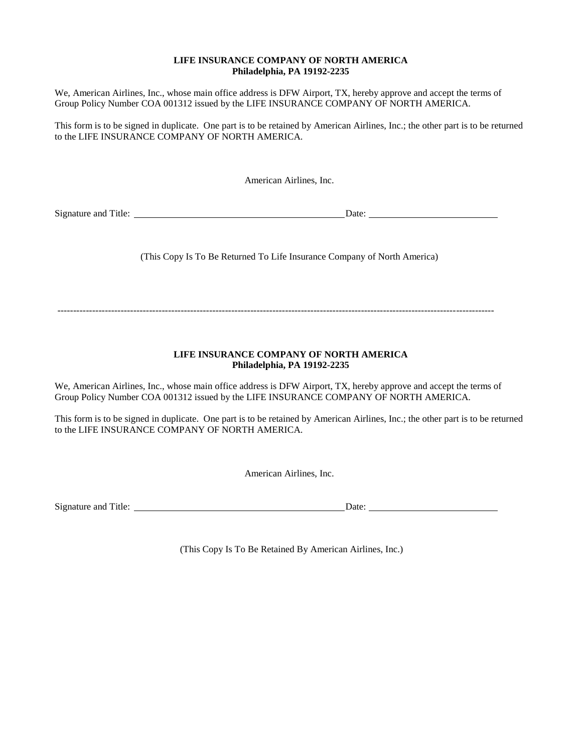#### **LIFE INSURANCE COMPANY OF NORTH AMERICA Philadelphia, PA 19192-2235**

We, American Airlines, Inc., whose main office address is DFW Airport, TX, hereby approve and accept the terms of Group Policy Number COA 001312 issued by the LIFE INSURANCE COMPANY OF NORTH AMERICA.

This form is to be signed in duplicate. One part is to be retained by American Airlines, Inc.; the other part is to be returned to the LIFE INSURANCE COMPANY OF NORTH AMERICA.

American Airlines, Inc.

Signature and Title: Date:

(This Copy Is To Be Returned To Life Insurance Company of North America)

------------------------------------------------------------------------------------------------------------------------------------------

#### **LIFE INSURANCE COMPANY OF NORTH AMERICA Philadelphia, PA 19192-2235**

We, American Airlines, Inc., whose main office address is DFW Airport, TX, hereby approve and accept the terms of Group Policy Number COA 001312 issued by the LIFE INSURANCE COMPANY OF NORTH AMERICA.

This form is to be signed in duplicate. One part is to be retained by American Airlines, Inc.; the other part is to be returned to the LIFE INSURANCE COMPANY OF NORTH AMERICA.

American Airlines, Inc.

Signature and Title: Date: Date: Date: Date:

(This Copy Is To Be Retained By American Airlines, Inc.)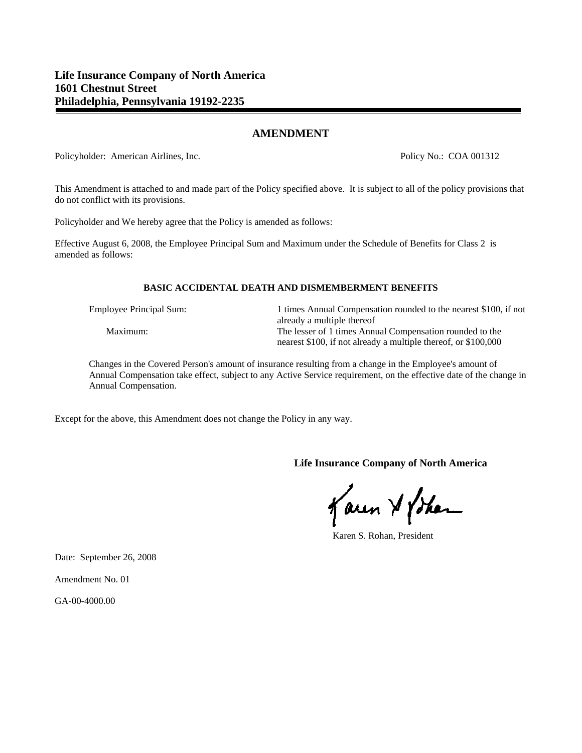#### **AMENDMENT**

Policyholder: American Airlines, Inc. Policy No.: COA 001312

This Amendment is attached to and made part of the Policy specified above. It is subject to all of the policy provisions that do not conflict with its provisions.

Policyholder and We hereby agree that the Policy is amended as follows:

Effective August 6, 2008, the Employee Principal Sum and Maximum under the Schedule of Benefits for Class 2 is amended as follows:

#### **BASIC ACCIDENTAL DEATH AND DISMEMBERMENT BENEFITS**

Employee Principal Sum: 1 times Annual Compensation rounded to the nearest \$100, if not already a multiple thereof Maximum: The lesser of 1 times Annual Compensation rounded to the nearest \$100, if not already a multiple thereof, or \$100,000

Changes in the Covered Person's amount of insurance resulting from a change in the Employee's amount of Annual Compensation take effect, subject to any Active Service requirement, on the effective date of the change in Annual Compensation.

Except for the above, this Amendment does not change the Policy in any way.

**Life Insurance Company of North America**

Karen & Johan

Karen S. Rohan, President

Date: September 26, 2008

Amendment No. 01

GA-00-4000.00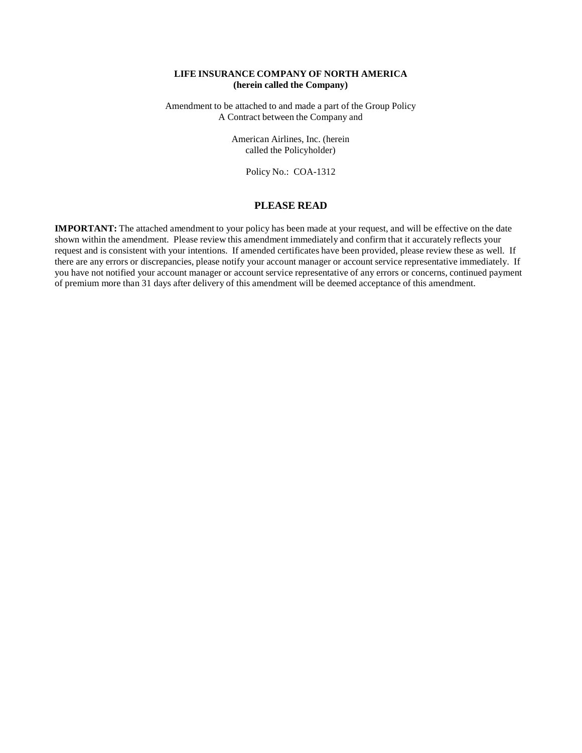#### **LIFE INSURANCE COMPANY OF NORTH AMERICA (herein called the Company)**

Amendment to be attached to and made a part of the Group Policy A Contract between the Company and

> American Airlines, Inc. (herein called the Policyholder)

> > Policy No.: COA-1312

#### **PLEASE READ**

**IMPORTANT:** The attached amendment to your policy has been made at your request, and will be effective on the date shown within the amendment. Please review this amendment immediately and confirm that it accurately reflects your request and is consistent with your intentions. If amended certificates have been provided, please review these as well. If there are any errors or discrepancies, please notify your account manager or account service representative immediately. If you have not notified your account manager or account service representative of any errors or concerns, continued payment of premium more than 31 days after delivery of this amendment will be deemed acceptance of this amendment.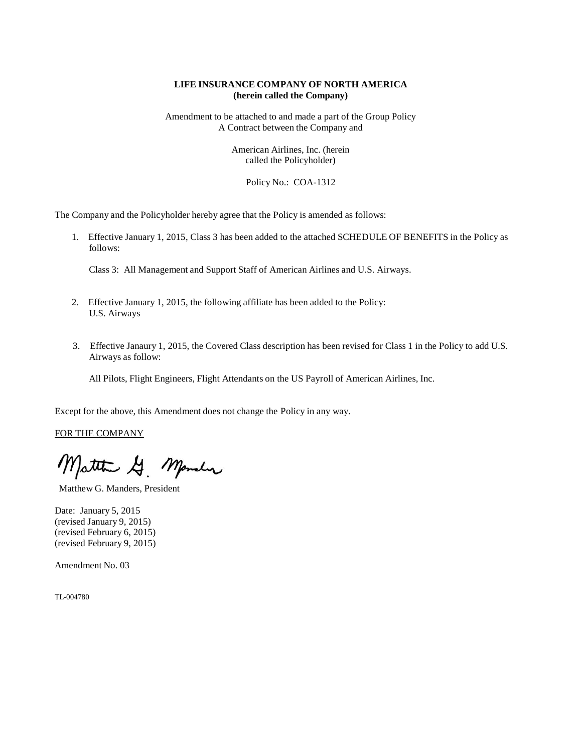#### **LIFE INSURANCE COMPANY OF NORTH AMERICA (herein called the Company)**

Amendment to be attached to and made a part of the Group Policy A Contract between the Company and

> American Airlines, Inc. (herein called the Policyholder)

> > Policy No.: COA-1312

The Company and the Policyholder hereby agree that the Policy is amended as follows:

1. Effective January 1, 2015, Class 3 has been added to the attached SCHEDULE OF BENEFITS in the Policy as follows:

Class 3: All Management and Support Staff of American Airlines and U.S. Airways.

- 2. Effective January 1, 2015, the following affiliate has been added to the Policy: U.S. Airways
- 3. Effective Janaury 1, 2015, the Covered Class description has been revised for Class 1 in the Policy to add U.S. Airways as follow:

All Pilots, Flight Engineers, Flight Attendants on the US Payroll of American Airlines, Inc.

Except for the above, this Amendment does not change the Policy in any way.

FOR THE COMPANY

Matthew G. Mander

Matthew G. Manders, President

Date: January 5, 2015 (revised January 9, 2015) (revised February 6, 2015) (revised February 9, 2015)

Amendment No. 03

TL-004780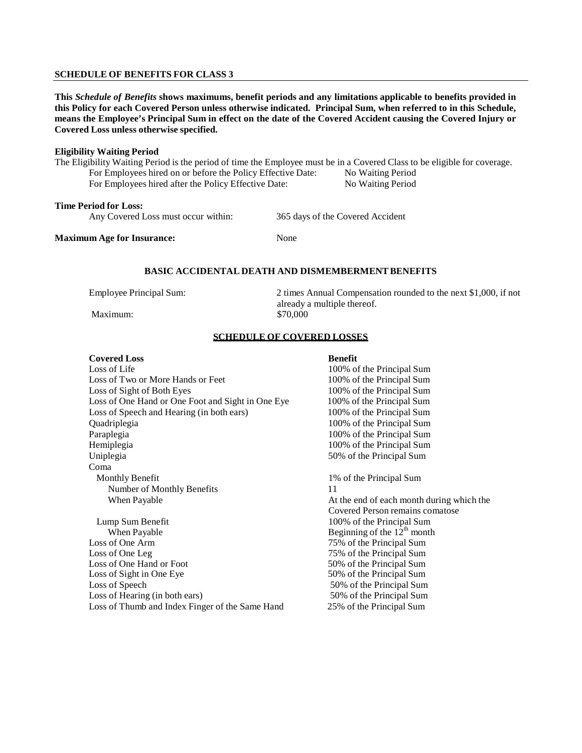#### **SCHEDULE OF BENEFITS FOR CLASS 3**

This Schedule of Benefits shows maximums, benefit periods and any limitations applicable to benefits provided in this Policy for each Covered Person unless otherwise indicated. Principal Sum, when referred to in this Schedule, means the Employee's Principal Sum in effect on the date of the Covered Accident causing the Covered Injury or **Covered Loss unless otherwise specified.**

#### **Eligibility Waiting Period**

The Eligibility Waiting Period is the period of time the Employee must be in a Covered Class to be eligible for coverage. For Employees hired on or before the Policy Effective Date: No Waiting Period<br>For Employees hired after the Policy Effective Date: No Waiting Period For Employees hired after the Policy Effective Date:

### **Time Period for Loss:**

Any Covered Loss must occur within: 365 days of the Covered Accident

#### **Maximum Age for Insurance:** None

#### **BASIC ACCIDENTAL DEATH AND DISMEMBERMENTBENEFITS**

Maximum:

Employee Principal Sum: 2 times Annual Compensation rounded to the next \$1,000, if not already a multiple thereof.<br>\$70,000

#### **SCHEDULE OF COVERED LOSSES**

#### **Covered Loss** Benefit

Loss of Life 100% of the Principal Sum Loss of Two or More Hands or Feet 100% of the Principal Sum Loss of Sight of Both Eyes 100% of the Principal Sum Loss of One Hand or One Foot and Sight in One Eye 100% of the Principal Sum Loss of Speech and Hearing (in both ears) 100% of the Principal Sum Quadriplegia 100% of the Principal Sum Paraplegia 200% of the Principal Sum Hemiplegia 100% of the Principal Sum Uniplegia 50% of the Principal Sum Coma Monthly Benefit 1% of the Principal Sum Number of Monthly Benefits 11 When Payable **At the end of each month during which the** Lump Sum Benefit 100% of the Principal Sum<br>When Pavable Beginning of the 12<sup>th</sup> month Loss of One Arm 75% of the Principal Sum Loss of One Leg 75% of the Principal Sum<br>
Loss of One Hand or Foot 75% of the Principal Sum Loss of One Hand or Foot Loss of Sight in One Eye 50% of the Principal Sum Loss of Speech 50% of the Principal Sum

Covered Person remains comatose Beginning of the  $12<sup>th</sup>$  month Loss of Hearing (in both ears) 50% of the Principal Sum Loss of Thumb and Index Finger of the Same Hand 25% of the Principal Sum